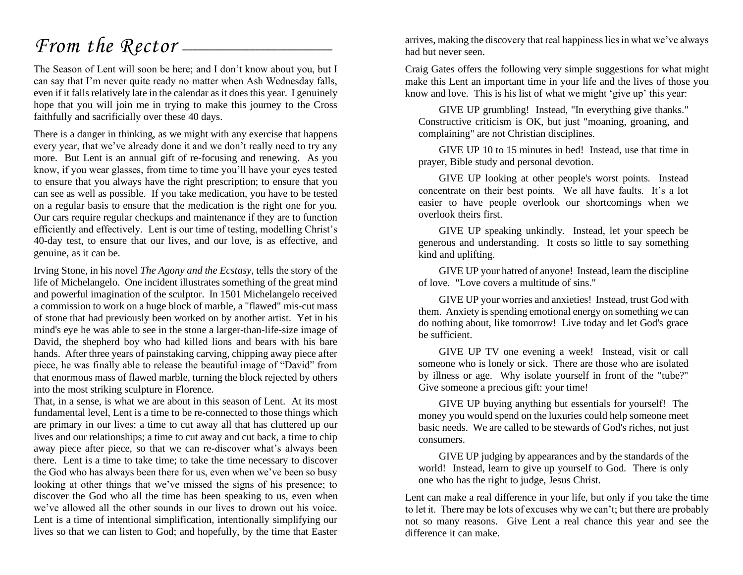### *From the Rector* —

The Season of Lent will soon be here; and I don't know about you, but I can say that I'm never quite ready no matter when Ash Wednesday falls, even if it falls relatively late in the calendar as it does this year. I genuinely hope that you will join me in trying to make this journey to the Cross faithfully and sacrificially over these 40 days.

There is a danger in thinking, as we might with any exercise that happens every year, that we've already done it and we don't really need to try any more. But Lent is an annual gift of re-focusing and renewing. As you know, if you wear glasses, from time to time you'll have your eyes tested to ensure that you always have the right prescription; to ensure that you can see as well as possible. If you take medication, you have to be tested on a regular basis to ensure that the medication is the right one for you. Our cars require regular checkups and maintenance if they are to function efficiently and effectively. Lent is our time of testing, modelling Christ's 40-day test, to ensure that our lives, and our love, is as effective, and genuine, as it can be.

Irving Stone, in his novel *The Agony and the Ecstasy*, tells the story of the life of Michelangelo. One incident illustrates something of the great mind and powerful imagination of the sculptor. In 1501 Michelangelo received a commission to work on a huge block of marble, a "flawed" mis-cut mass of stone that had previously been worked on by another artist. Yet in his mind's eye he was able to see in the stone a larger-than-life-size image of David, the shepherd boy who had killed lions and bears with his bare hands. After three years of painstaking carving, chipping away piece after piece, he was finally able to release the beautiful image of "David" from that enormous mass of flawed marble, turning the block rejected by others into the most striking sculpture in Florence.

That, in a sense, is what we are about in this season of Lent. At its most fundamental level, Lent is a time to be re-connected to those things which are primary in our lives: a time to cut away all that has cluttered up our lives and our relationships; a time to cut away and cut back, a time to chip away piece after piece, so that we can re-discover what's always been there. Lent is a time to take time; to take the time necessary to discover the God who has always been there for us, even when we've been so busy looking at other things that we've missed the signs of his presence; to discover the God who all the time has been speaking to us, even when we've allowed all the other sounds in our lives to drown out his voice. Lent is a time of intentional simplification, intentionally simplifying our lives so that we can listen to God; and hopefully, by the time that Easter

arrives, making the discovery that real happiness lies in what we've always had but never seen.

Craig Gates offers the following very simple suggestions for what might make this Lent an important time in your life and the lives of those you know and love. This is his list of what we might 'give up' this year:

GIVE UP grumbling! Instead, "In everything give thanks." Constructive criticism is OK, but just "moaning, groaning, and complaining" are not Christian disciplines.

GIVE UP 10 to 15 minutes in bed! Instead, use that time in prayer, Bible study and personal devotion.

GIVE UP looking at other people's worst points. Instead concentrate on their best points. We all have faults. It's a lot easier to have people overlook our shortcomings when we overlook theirs first.

GIVE UP speaking unkindly. Instead, let your speech be generous and understanding. It costs so little to say something kind and uplifting.

GIVE UP your hatred of anyone! Instead, learn the discipline of love. "Love covers a multitude of sins."

GIVE UP your worries and anxieties! Instead, trust God with them. Anxiety is spending emotional energy on something we can do nothing about, like tomorrow! Live today and let God's grace be sufficient.

GIVE UP TV one evening a week! Instead, visit or call someone who is lonely or sick. There are those who are isolated by illness or age. Why isolate yourself in front of the "tube?" Give someone a precious gift: your time!

GIVE UP buying anything but essentials for yourself! The money you would spend on the luxuries could help someone meet basic needs. We are called to be stewards of God's riches, not just consumers.

GIVE UP judging by appearances and by the standards of the world! Instead, learn to give up yourself to God. There is only one who has the right to judge, Jesus Christ.

Lent can make a real difference in your life, but only if you take the time to let it. There may be lots of excuses why we can't; but there are probably not so many reasons. Give Lent a real chance this year and see the difference it can make.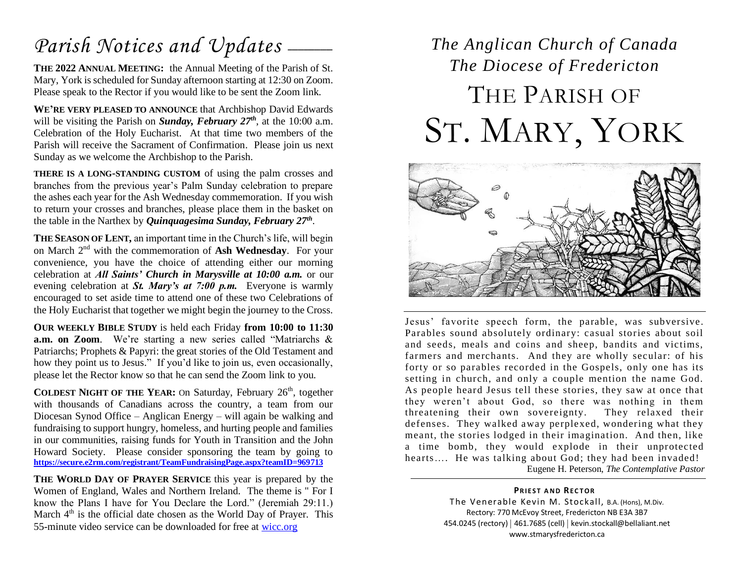### Parish Notices and Updates \_\_\_\_\_

**THE 2022 ANNUAL MEETING:** the Annual Meeting of the Parish of St. Mary, York is scheduled for Sunday afternoon starting at 12:30 on Zoom. Please speak to the Rector if you would like to be sent the Zoom link.

**WE'RE VERY PLEASED TO ANNOUNCE** that Archbishop David Edwards will be visiting the Parish on *Sunday, February 27<sup>th</sup>*, at the 10:00 a.m. Celebration of the Holy Eucharist. At that time two members of the Parish will receive the Sacrament of Confirmation. Please join us next Sunday as we welcome the Archbishop to the Parish.

**THERE IS A LONG-STANDING CUSTOM** of using the palm crosses and branches from the previous year's Palm Sunday celebration to prepare the ashes each year for the Ash Wednesday commemoration. If you wish to return your crosses and branches, please place them in the basket on the table in the Narthex by *Quinquagesima Sunday, February 27th* .

**THE SEASON OF LENT,** an important time in the Church's life, will begin on March 2nd with the commemoration of **Ash Wednesday**. For your convenience, you have the choice of attending either our morning celebration at *All Saints' Church in Marysville at 10:00 a.m.* or our evening celebration at *St. Mary's at 7:00 p.m.* Everyone is warmly encouraged to set aside time to attend one of these two Celebrations of the Holy Eucharist that together we might begin the journey to the Cross.

**OUR WEEKLY BIBLE STUDY** is held each Friday **from 10:00 to 11:30 a.m. on Zoom**. We're starting a new series called "Matriarchs & Patriarchs; Prophets & Papyri: the great stories of the Old Testament and how they point us to Jesus." If you'd like to join us, even occasionally, please let the Rector know so that he can send the Zoom link to you.

**COLDEST NIGHT OF THE YEAR:** On Saturday, February 26<sup>th</sup>, together with thousands of Canadians across the country, a team from our Diocesan Synod Office – Anglican Energy – will again be walking and fundraising to support hungry, homeless, and hurting people and families in our communities, raising funds for Youth in Transition and the John Howard Society. Please consider sponsoring the team by going to **<https://secure.e2rm.com/registrant/TeamFundraisingPage.aspx?teamID=969713>**

**THE WORLD DAY OF PRAYER SERVICE** this year is prepared by the Women of England, Wales and Northern Ireland. The theme is " For I know the Plans I have for You Declare the Lord." (Jeremiah 29:11.) March  $4<sup>th</sup>$  is the official date chosen as the World Day of Prayer. This 55-minute video service can be downloaded for free at [wicc.org](http://wicc.org/)

## *The Anglican Church of Canada The Diocese of Fredericton* THE PARISH OF ST. MARY, YORK



Jesus' favorite speech form, the parable, was subversive. Parables sound absolutely ordinary: casual stories about soil and seeds, meals and coins and sheep, bandits and victims, farmers and merchants. And they are wholly secular: of his forty or so parables recorded in the Gospels, only one has its setting in church, and only a couple mention the name God. As people heard Jesus tell these stories, they saw at once that they weren't about God, so there was nothing in them threatening their own sovereignty. They relaxed their defenses. They walked away perplexed, wondering what they meant, the stories lodged in their imagination. And then, like a time bomb, they would explode in their unprotected hearts.... He was talking about God; they had been invaded! Eugene H. Peterson, *The Contemplative Pastor*

> **PRIEST AND RECTOR** The Venerable Kevin M. Stockall, B.A. (Hons), M.Div. Rectory: 770 McEvoy Street, Fredericton NB E3A 3B7 454.0245 (rectory) | 461.7685 (cell) | kevin.stockall@bellaliant.net www.stmarysfredericton.ca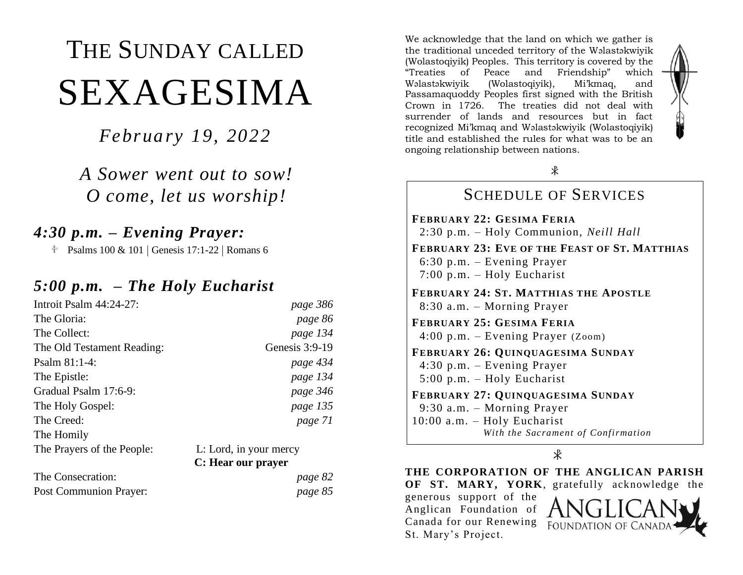# THE SUNDAY CALLED SEXAGESIMA

*February 19, 2022*

*A Sower went out to sow! O come, let us worship!*

#### *4:30 p.m. – Evening Prayer:*

 $\text{\textdegree}$  Psalms 100 & 101 | Genesis 17:1-22 | Romans 6

#### *5:00 p.m. – The Holy Eucharist*

| Introit Psalm $44:24-27$ : | page 386                                     |
|----------------------------|----------------------------------------------|
| The Gloria:                | page 86                                      |
| The Collect:               | page 134                                     |
| The Old Testament Reading: | Genesis $3:9-19$                             |
| Psalm $81:1-4$ :           | page 434                                     |
| The Epistle:               | page 134                                     |
| Gradual Psalm 17:6-9:      | page 346                                     |
| The Holy Gospel:           | page 135                                     |
| The Creed:                 | page 71                                      |
| The Homily                 |                                              |
| The Prayers of the People: | L: Lord, in your mercy<br>C: Hear our prayer |

| The Consecration:             | page 82 |
|-------------------------------|---------|
| <b>Post Communion Prayer:</b> | page 85 |

We acknowledge that the land on which we gather is the traditional unceded territory of the Wəlastəkwiyik (Wolastoqiyik) Peoples. This territory is covered by the "Treaties of Peace and Friendship" which Wəlastəkwiyik (Wolastoqiyik), Mi'kmaq, and Passamaquoddy Peoples first signed with the British Crown in 1726. The treaties did not deal with surrender of lands and resources but in fact recognized Mi'kmaq and Wəlastəkwiyik (Wolastoqiyik) title and established the rules for what was to be an ongoing relationship between nations.



 $\ast$ 

#### SCHEDULE OF SERVICES **FEBRUARY 22: GESIMA FERIA** 2:30 p.m. – Holy Communion, *Neill Hall* **FEBRUARY 23: EVE OF THE FEAST OF ST. MATTHIAS** 6:30 p.m. – Evening Prayer 7:00 p.m. – Holy Eucharist **FEBRUARY 24: ST. MATTHIAS THE APOSTLE** 8:30 a.m. – Morning Prayer **FEBRUARY 25: GESIMA FERIA** 4:00 p.m. – Evening Prayer (Zoom) **FEBRUARY 26: QUINQUAGESIMA SUNDAY** 4:30 p.m. – Evening Prayer 5:00 p.m. – Holy Eucharist **FEBRUARY 27: QUINQUAGESIMA SUNDAY** 9:30 a.m. – Morning Prayer 10:00 a.m. – Holy Eucharist *With the Sacrament of Confirmation*

 $\mathcal{R}$ 

**THE CORPORATION OF THE ANGLICAN PARISH OF ST. MARY, YORK**, gratefully acknowledge the generous support of the Anglican Foundation of Canada for our Renewing FOUNDATION OF CAN St. Mary's Project.